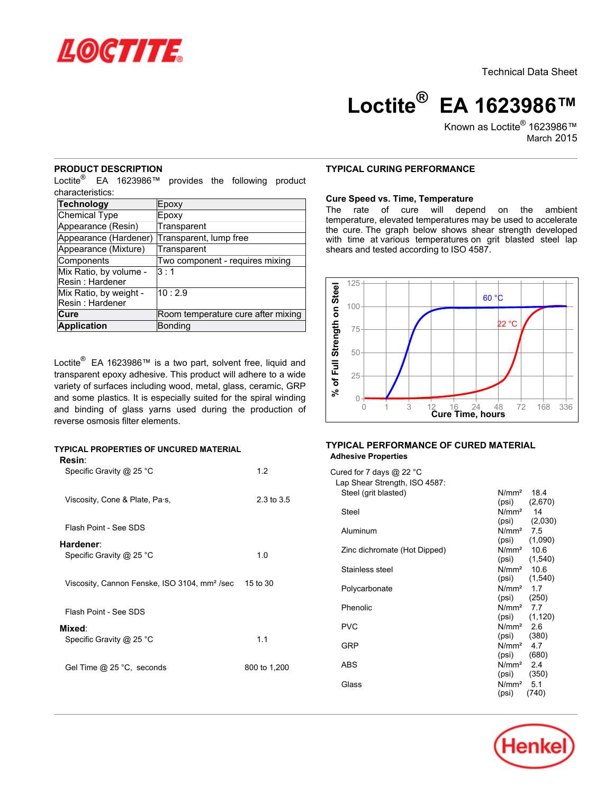

Technical Data Sheet

**Loctite® EA 1623986™**

Known as Loctite<sup>®</sup> 1623986™ March<sub>2015</sub>

# **PRODUCT DESCRIPTION**

Loctite<sup>®</sup> EA 1623986™ provides the following product characteristics:

| <b>Technology</b>      | Epoxy                              |
|------------------------|------------------------------------|
| Chemical Type          | Epoxy                              |
| Appearance (Resin)     | Transparent                        |
| Appearance (Hardener)  | Transparent, lump free             |
| Appearance (Mixture)   | Transparent                        |
| Components             | Two component - requires mixing    |
| Mix Ratio, by volume - | 3:1                                |
| Resin: Hardener        |                                    |
| Mix Ratio, by weight - | 10:2.9                             |
| Resin: Hardener        |                                    |
| Cure                   | Room temperature cure after mixing |
| <b>Application</b>     | <b>Bonding</b>                     |

Loctite<sup>®</sup> EA 1623986™ is a two part, solvent free, liquid and transparent epoxy adhesive. This product will adhere to a wide variety of surfaces including wood, metal, glass, ceramic, GRP and some plastics. It is especially suited for the spiral winding and binding of glass yarns used during the production of reverse osmosis filter elements.

# **TYPICAL PROPERTIES OF UNCURED MATERIAL**

**Resin**:

| Specific Gravity @ 25 °C                                 | 1.2          |
|----------------------------------------------------------|--------------|
| Viscosity, Cone & Plate, Pa·s,                           | 2.3 to 3.5   |
| Flash Point - See SDS                                    |              |
| Hardener:<br>Specific Gravity @ 25 °C                    | 1.0          |
| Viscosity, Cannon Fenske, ISO 3104, mm <sup>2</sup> /sec | 15 to 30     |
| Flash Point - See SDS                                    |              |
| Mixed:<br>Specific Gravity @ 25 °C                       | 1.1          |
| Gel Time @ 25 °C, seconds                                | 800 to 1,200 |

# **TYPICAL CURING PERFORMANCE**

# **Cure Speed vs. Time, Temperature**

The rate of cure will depend on the ambient temperature, elevated temperatures may be used to accelerate the cure. The graph below shows shear strength developed with time at various temperatures on grit blasted steel lap shears and tested according to ISO 4587.



# **TYPICAL PERFORMANCE OF CURED MATERIAL Adhesive Properties**

| Cured for 7 days @ 22 °C      |                        |                   |
|-------------------------------|------------------------|-------------------|
| Lap Shear Strength, ISO 4587: |                        |                   |
| Steel (grit blasted)          | N/mm <sup>2</sup>      | 184               |
|                               | (psi)                  | (2,670)           |
| Steel                         | N/mm <sup>2</sup>      | 14                |
|                               | (psi)                  | (2,030)           |
| Aluminum                      | N/mm <sup>2</sup>      | 7.5               |
|                               | (psi)                  | (1,090)           |
| Zinc dichromate (Hot Dipped)  | N/mm <sup>2</sup> 10.6 |                   |
|                               | (psi)                  | (1,540)           |
| Stainless steel               | N/mm <sup>2</sup>      | 10.6              |
|                               | (psi)                  | (1,540)           |
| Polycarbonate                 | $N/mm2$ 1.7            |                   |
|                               | (psi)                  | (250)             |
| Phenolic                      | $N/mm2$ 7.7            |                   |
|                               |                        | $(psi)$ $(1,120)$ |
| <b>PVC</b>                    | $N/mm2$ 2.6            |                   |
|                               | (psi)                  | (380)             |
| GRP                           | N/mm <sup>2</sup>      | 4.7               |
|                               | (psi)                  | (680)             |
| <b>ABS</b>                    | N/mm <sup>2</sup>      | 24                |
|                               | (psi)                  | (350)             |
| Glass                         | N/mm <sup>2</sup>      | 5.1               |
|                               | (psi)                  | (740)             |